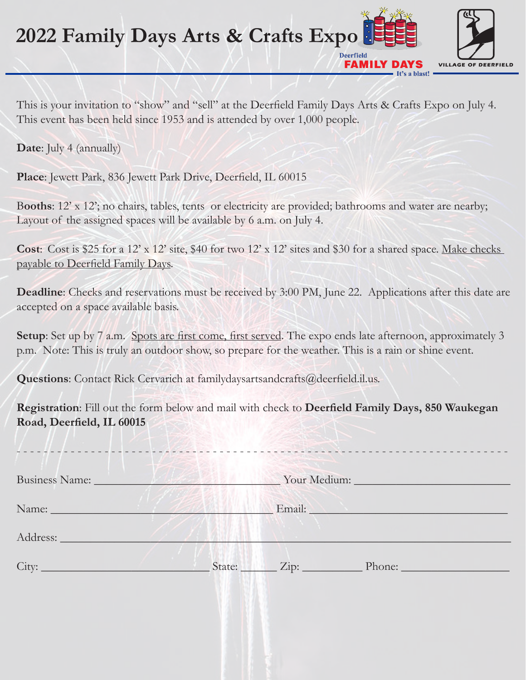## **2022 Family Days Arts & Crafts Expo Deerfield**



FAMILY D

It's a blast!

This is your invitation to "show" and "sell" at the Deerfield Family Days Arts & Crafts Expo on July 4. This event has been held since 1953 and is attended by over 1,000 people.

**Date**: July 4 (annually)

**Place**: Jewett Park, 836 Jewett Park Drive, Deerfield, IL 60015

Booths: 12' x 12'; no chairs, tables, tents or electricity are provided; bathrooms and water are nearby; Layout of the assigned spaces will be available by 6 a.m. on July 4.

**Cost**: Cost is \$25 for a 12' x 12' site, \$40 for two 12' x 12' sites and \$30 for a shared space. Make checks payable to Deerfield Family Days.

**Deadline**: Checks and reservations must be received by 3:00 PM, June 22. Applications after this date are accepted on a space available basis.

**Setup**: Set up by 7 a.m. Spots are first come, first served. The expo ends late afternoon, approximately 3 p.m. Note: This is truly an outdoor show, so prepare for the weather. This is a rain or shine event.

**Questions**: Contact Rick Cervarich at familydaysartsandcrafts@deerfield.il.us.

**Registration**: Fill out the form below and mail with check to **Deerfield Family Days, 850 Waukegan Road, Deerfield, IL 60015**

- - - - - - - - - - - - - - - - - - - - - - - - - - - - - - - - - - - - - - - - - - - - - - - - - - - - - - - - - - - - - - - - - - - - - - - - -

| Business Name: New York 1988 | Vour Medium:          |  |
|------------------------------|-----------------------|--|
|                              | Email: No. 1998       |  |
|                              |                       |  |
|                              | State: Zip:<br>Phone: |  |